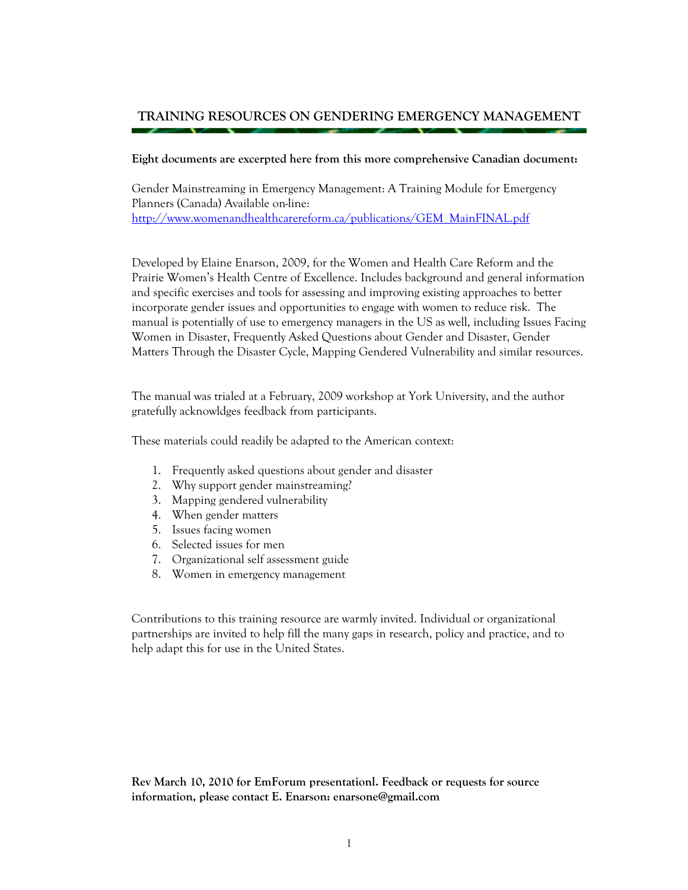# **TRAINING RESOURCES ON GENDERING EMERGENCY MANAGEMENT**

#### **Eight documents are excerpted here from this more comprehensive Canadian document:**

Gender Mainstreaming in Emergency Management: A Training Module for Emergency Planners (Canada) Available on-line: [http://www.womenandhealthcarereform.ca/publications/GEM\\_MainFINAL.pdf](http://www.womenandhealthcarereform.ca/publications/GEM_MainFINAL.pdf)

Developed by Elaine Enarson, 2009, for the Women and Health Care Reform and the Prairie Women's Health Centre of Excellence. Includes background and general information and specific exercises and tools for assessing and improving existing approaches to better incorporate gender issues and opportunities to engage with women to reduce risk. The manual is potentially of use to emergency managers in the US as well, including Issues Facing Women in Disaster, Frequently Asked Questions about Gender and Disaster, Gender Matters Through the Disaster Cycle, Mapping Gendered Vulnerability and similar resources.

The manual was trialed at a February, 2009 workshop at York University, and the author gratefully acknowldges feedback from participants.

These materials could readily be adapted to the American context:

- 1. Frequently asked questions about gender and disaster
- 2. Why support gender mainstreaming?
- 3. Mapping gendered vulnerability
- 4. When gender matters
- 5. Issues facing women
- 6. Selected issues for men
- 7. Organizational self assessment guide
- 8. Women in emergency management

Contributions to this training resource are warmly invited. Individual or organizational partnerships are invited to help fill the many gaps in research, policy and practice, and to help adapt this for use in the United States.

**Rev March 10, 2010 for EmForum presentationl. Feedback or requests for source information, please contact E. Enarson: enarsone@gmail.com**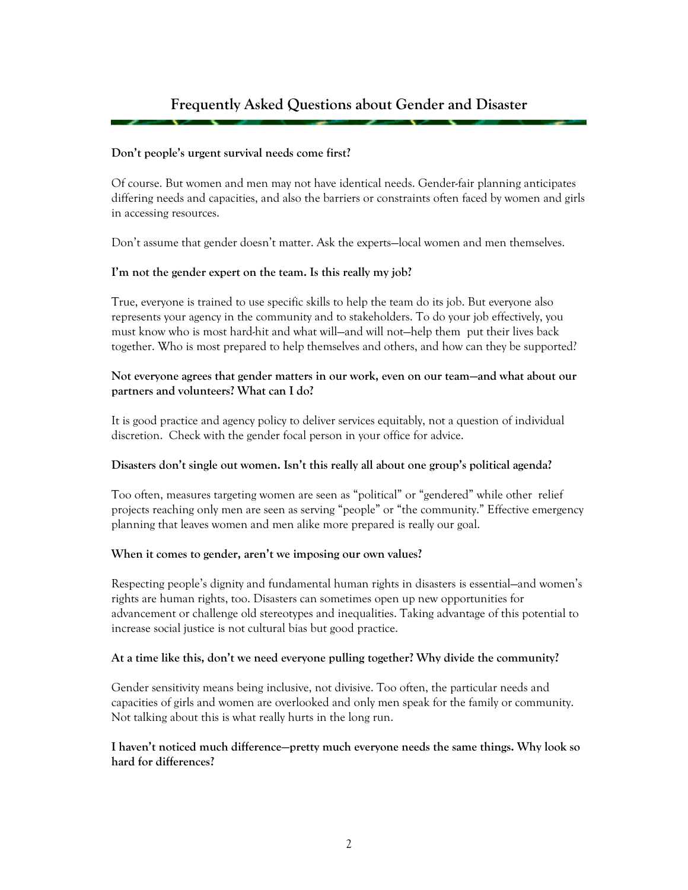# **Frequently Asked Questions about Gender and Disaster**

#### **Don't people's urgent survival needs come first?**

Of course. But women and men may not have identical needs. Gender-fair planning anticipates differing needs and capacities, and also the barriers or constraints often faced by women and girls in accessing resources.

Don't assume that gender doesn't matter. Ask the experts—local women and men themselves.

### **I'm not the gender expert on the team. Is this really my job?**

True, everyone is trained to use specific skills to help the team do its job. But everyone also represents your agency in the community and to stakeholders. To do your job effectively, you must know who is most hard-hit and what will—and will not—help them put their lives back together. Who is most prepared to help themselves and others, and how can they be supported?

#### **Not everyone agrees that gender matters in our work, even on our team—and what about our partners and volunteers? What can I do?**

It is good practice and agency policy to deliver services equitably, not a question of individual discretion. Check with the gender focal person in your office for advice.

### **Disasters don't single out women. Isn't this really all about one group's political agenda?**

Too often, measures targeting women are seen as "political" or "gendered" while other relief projects reaching only men are seen as serving "people" or "the community." Effective emergency planning that leaves women and men alike more prepared is really our goal.

### **When it comes to gender, aren't we imposing our own values?**

Respecting people's dignity and fundamental human rights in disasters is essential—and women's rights are human rights, too. Disasters can sometimes open up new opportunities for advancement or challenge old stereotypes and inequalities. Taking advantage of this potential to increase social justice is not cultural bias but good practice.

### **At a time like this, don't we need everyone pulling together? Why divide the community?**

Gender sensitivity means being inclusive, not divisive. Too often, the particular needs and capacities of girls and women are overlooked and only men speak for the family or community. Not talking about this is what really hurts in the long run.

### **I haven't noticed much difference—pretty much everyone needs the same things. Why look so hard for differences?**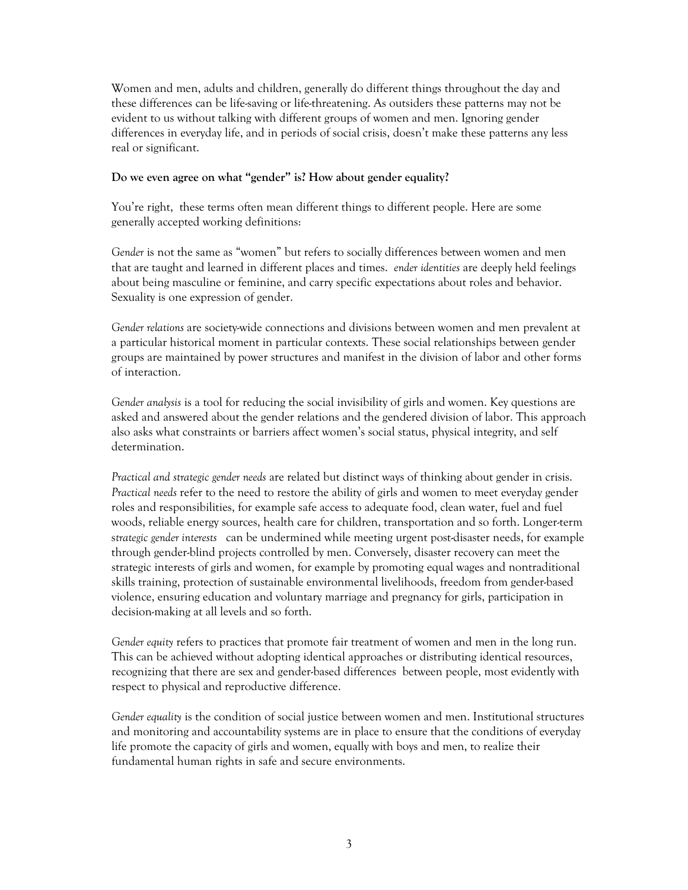Women and men, adults and children, generally do different things throughout the day and these differences can be life-saving or life-threatening. As outsiders these patterns may not be evident to us without talking with different groups of women and men. Ignoring gender differences in everyday life, and in periods of social crisis, doesn't make these patterns any less real or significant.

#### **Do we even agree on what "gender" is? How about gender equality?**

You're right, these terms often mean different things to different people. Here are some generally accepted working definitions:

Gender is not the same as "women" but refers to socially differences between women and men that are taught and learned in different places and times. *ender identities* are deeply held feelings about being masculine or feminine, and carry specific expectations about roles and behavior. Sexuality is one expression of gender.

*Gender relations* are society-wide connections and divisions between women and men prevalent at a particular historical moment in particular contexts. These social relationships between gender groups are maintained by power structures and manifest in the division of labor and other forms of interaction.

*Gender analysis* is a tool for reducing the social invisibility of girls and women. Key questions are asked and answered about the gender relations and the gendered division of labor. This approach also asks what constraints or barriers affect women's social status, physical integrity, and self determination.

*Practical and strategic gender needs* are related but distinct ways of thinking about gender in crisis. *Practical needs* refer to the need to restore the ability of girls and women to meet everyday gender roles and responsibilities, for example safe access to adequate food, clean water, fuel and fuel woods, reliable energy sources, health care for children, transportation and so forth. Longer-term s*trategic gender interests* can be undermined while meeting urgent post-disaster needs, for example through gender-blind projects controlled by men. Conversely, disaster recovery can meet the strategic interests of girls and women, for example by promoting equal wages and nontraditional skills training, protection of sustainable environmental livelihoods, freedom from gender-based violence, ensuring education and voluntary marriage and pregnancy for girls, participation in decision-making at all levels and so forth.

*Gender equity* refers to practices that promote fair treatment of women and men in the long run. This can be achieved without adopting identical approaches or distributing identical resources, recognizing that there are sex and gender-based differences between people, most evidently with respect to physical and reproductive difference.

*Gender equality* is the condition of social justice between women and men. Institutional structures and monitoring and accountability systems are in place to ensure that the conditions of everyday life promote the capacity of girls and women, equally with boys and men, to realize their fundamental human rights in safe and secure environments.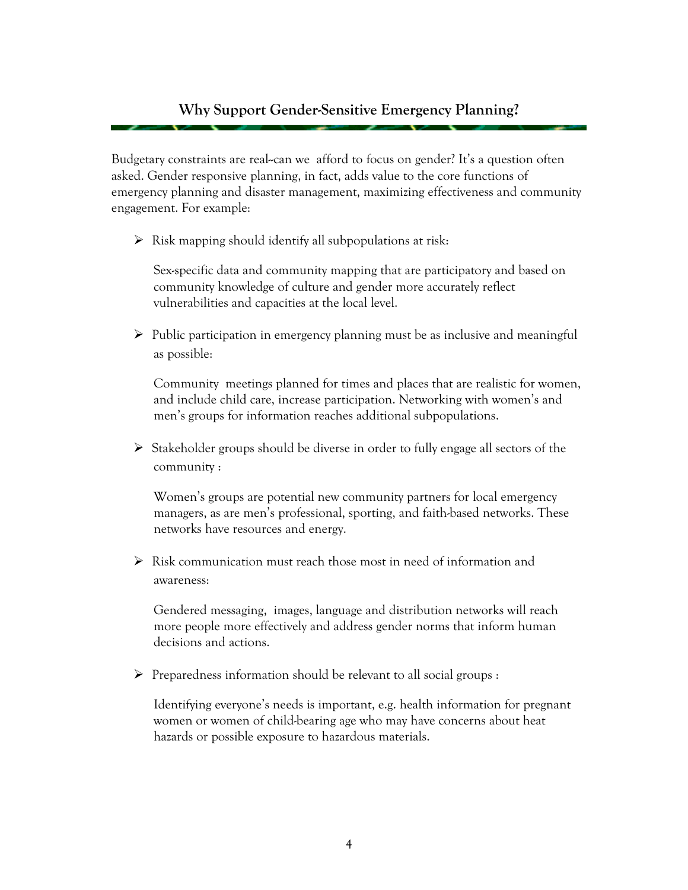# **Why Support Gender-Sensitive Emergency Planning?**

Budgetary constraints are real--can we afford to focus on gender? It's a question often asked. Gender responsive planning, in fact, adds value to the core functions of emergency planning and disaster management, maximizing effectiveness and community engagement. For example:

 $\triangleright$  Risk mapping should identify all subpopulations at risk:

Sex-specific data and community mapping that are participatory and based on community knowledge of culture and gender more accurately reflect vulnerabilities and capacities at the local level.

 $\triangleright$  Public participation in emergency planning must be as inclusive and meaningful as possible:

Community meetings planned for times and places that are realistic for women, and include child care, increase participation. Networking with women's and men's groups for information reaches additional subpopulations.

 $\triangleright$  Stakeholder groups should be diverse in order to fully engage all sectors of the community :

Women's groups are potential new community partners for local emergency managers, as are men's professional, sporting, and faith-based networks. These networks have resources and energy.

 $\triangleright$  Risk communication must reach those most in need of information and awareness:

Gendered messaging, images, language and distribution networks will reach more people more effectively and address gender norms that inform human decisions and actions.

 $\triangleright$  Preparedness information should be relevant to all social groups :

Identifying everyone's needs is important, e.g. health information for pregnant women or women of child-bearing age who may have concerns about heat hazards or possible exposure to hazardous materials.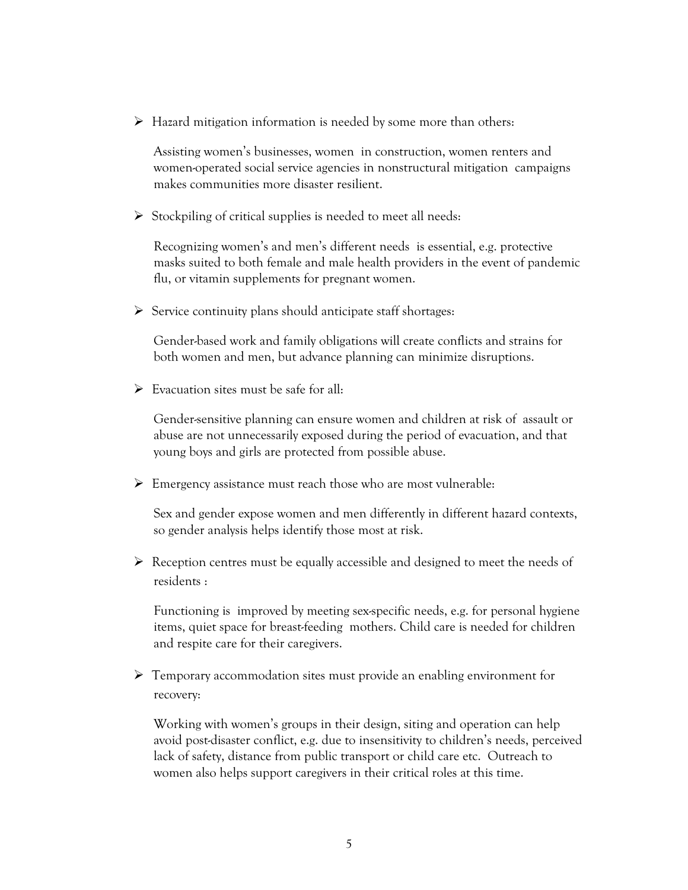$\triangleright$  Hazard mitigation information is needed by some more than others:

Assisting women's businesses, women in construction, women renters and women-operated social service agencies in nonstructural mitigation campaigns makes communities more disaster resilient.

 $\triangleright$  Stockpiling of critical supplies is needed to meet all needs:

Recognizing women's and men's different needs is essential, e.g. protective masks suited to both female and male health providers in the event of pandemic flu, or vitamin supplements for pregnant women.

 $\triangleright$  Service continuity plans should anticipate staff shortages:

Gender-based work and family obligations will create conflicts and strains for both women and men, but advance planning can minimize disruptions.

 $\triangleright$  Evacuation sites must be safe for all:

Gender-sensitive planning can ensure women and children at risk of assault or abuse are not unnecessarily exposed during the period of evacuation, and that young boys and girls are protected from possible abuse.

 $\triangleright$  Emergency assistance must reach those who are most vulnerable:

Sex and gender expose women and men differently in different hazard contexts, so gender analysis helps identify those most at risk.

 $\triangleright$  Reception centres must be equally accessible and designed to meet the needs of residents :

Functioning is improved by meeting sex-specific needs, e.g. for personal hygiene items, quiet space for breast-feeding mothers. Child care is needed for children and respite care for their caregivers.

 $\triangleright$  Temporary accommodation sites must provide an enabling environment for recovery:

Working with women's groups in their design, siting and operation can help avoid post-disaster conflict, e.g. due to insensitivity to children's needs, perceived lack of safety, distance from public transport or child care etc. Outreach to women also helps support caregivers in their critical roles at this time.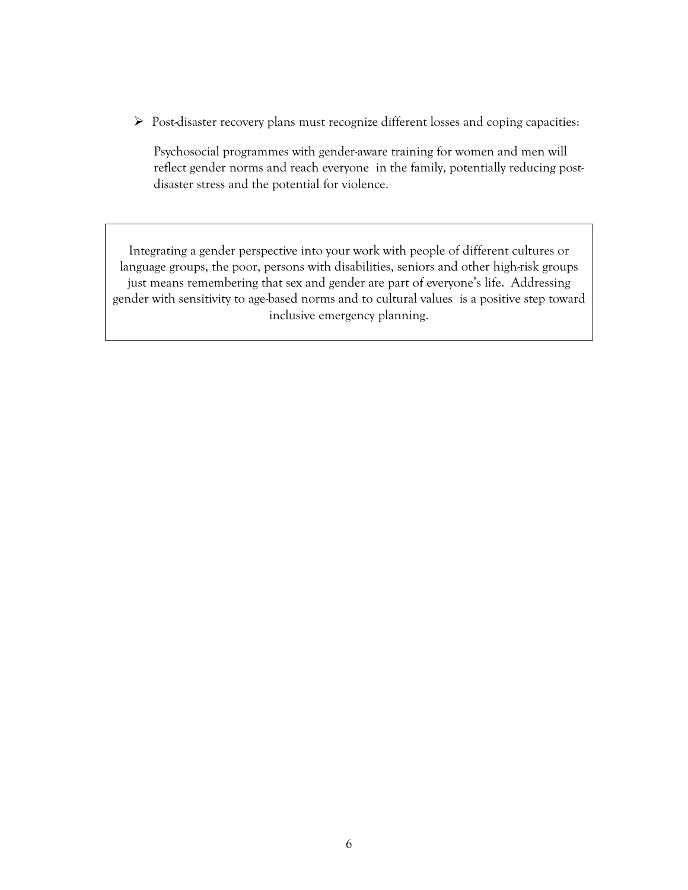$\triangleright$  Post-disaster recovery plans must recognize different losses and coping capacities:

Psychosocial programmes with gender-aware training for women and men will reflect gender norms and reach everyone in the family, potentially reducing postdisaster stress and the potential for violence.

Integrating a gender perspective into your work with people of different cultures or language groups, the poor, persons with disabilities, seniors and other high-risk groups just means remembering that sex and gender are part of everyone's life. Addressing gender with sensitivity to age-based norms and to cultural values is a positive step toward inclusive emergency planning.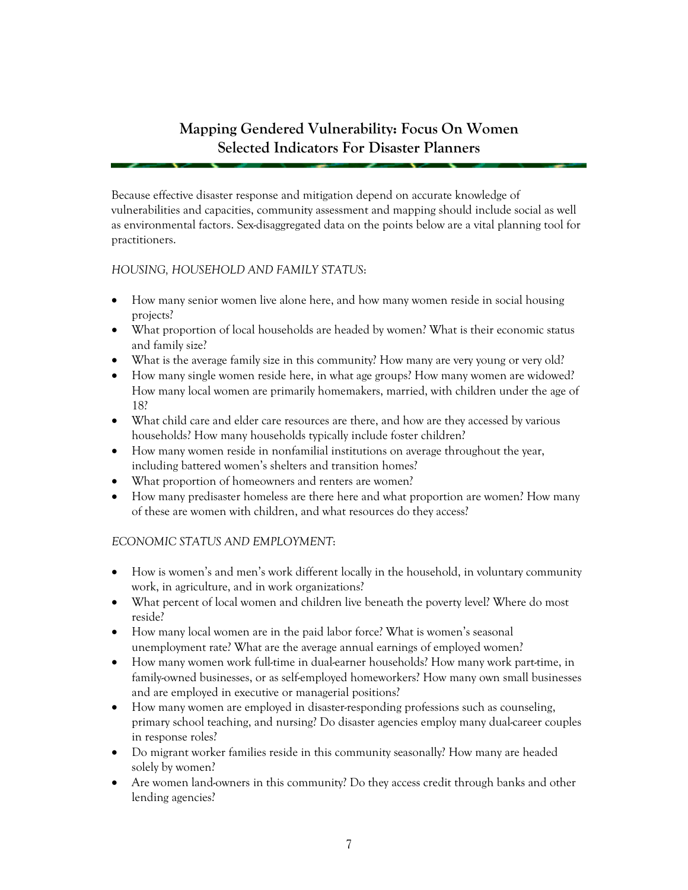# **Mapping Gendered Vulnerability: Focus On Women Selected Indicators For Disaster Planners**

Because effective disaster response and mitigation depend on accurate knowledge of vulnerabilities and capacities, community assessment and mapping should include social as well as environmental factors. Sex-disaggregated data on the points below are a vital planning tool for practitioners.

## *HOUSING, HOUSEHOLD AND FAMILY STATUS*:

- How many senior women live alone here, and how many women reside in social housing projects?
- What proportion of local households are headed by women? What is their economic status and family size?
- What is the average family size in this community? How many are very young or very old?
- How many single women reside here, in what age groups? How many women are widowed? How many local women are primarily homemakers, married, with children under the age of 18?
- What child care and elder care resources are there, and how are they accessed by various households? How many households typically include foster children?
- How many women reside in nonfamilial institutions on average throughout the year, including battered women's shelters and transition homes?
- What proportion of homeowners and renters are women?
- How many predisaster homeless are there here and what proportion are women? How many of these are women with children, and what resources do they access?

## *ECONOMIC STATUS AND EMPLOYMENT*:

- How is women's and men's work different locally in the household, in voluntary community work, in agriculture, and in work organizations?
- What percent of local women and children live beneath the poverty level? Where do most reside?
- How many local women are in the paid labor force? What is women's seasonal unemployment rate? What are the average annual earnings of employed women?
- How many women work full-time in dual-earner households? How many work part-time, in family-owned businesses, or as self-employed homeworkers? How many own small businesses and are employed in executive or managerial positions?
- How many women are employed in disaster-responding professions such as counseling, primary school teaching, and nursing? Do disaster agencies employ many dual-career couples in response roles?
- Do migrant worker families reside in this community seasonally? How many are headed solely by women?
- Are women land-owners in this community? Do they access credit through banks and other lending agencies?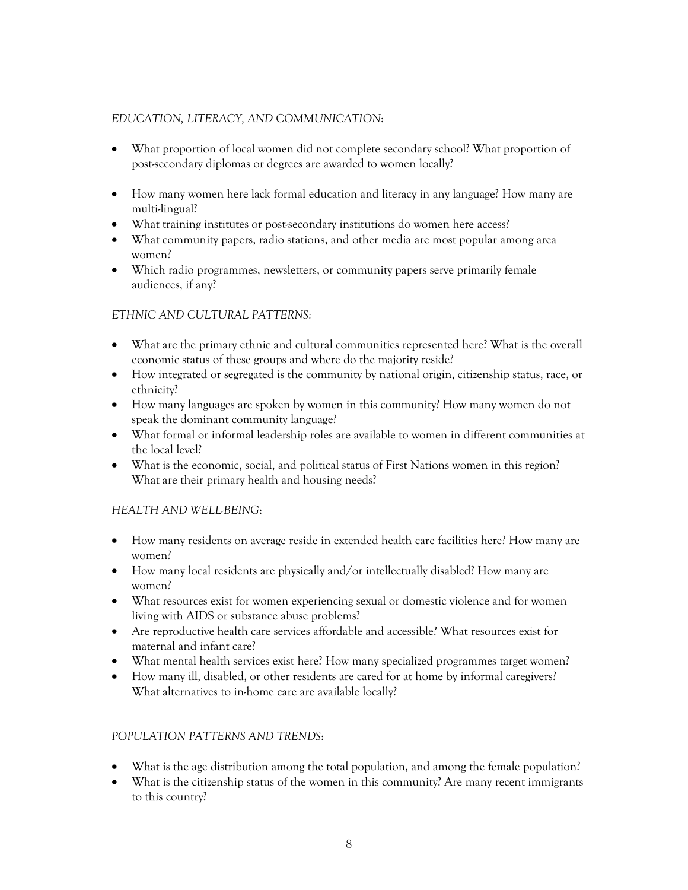# *EDUCATION, LITERACY, AND COMMUNICATION*:

- What proportion of local women did not complete secondary school? What proportion of post-secondary diplomas or degrees are awarded to women locally?
- How many women here lack formal education and literacy in any language? How many are multi-lingual?
- What training institutes or post-secondary institutions do women here access?
- What community papers, radio stations, and other media are most popular among area women?
- Which radio programmes, newsletters, or community papers serve primarily female audiences, if any?

## *ETHNIC AND CULTURAL PATTERNS:*

- What are the primary ethnic and cultural communities represented here? What is the overall economic status of these groups and where do the majority reside?
- How integrated or segregated is the community by national origin, citizenship status, race, or ethnicity?
- How many languages are spoken by women in this community? How many women do not speak the dominant community language?
- What formal or informal leadership roles are available to women in different communities at the local level?
- What is the economic, social, and political status of First Nations women in this region? What are their primary health and housing needs?

## *HEALTH AND WELL-BEING*:

- How many residents on average reside in extended health care facilities here? How many are women?
- How many local residents are physically and/or intellectually disabled? How many are women?
- What resources exist for women experiencing sexual or domestic violence and for women living with AIDS or substance abuse problems?
- Are reproductive health care services affordable and accessible? What resources exist for maternal and infant care?
- What mental health services exist here? How many specialized programmes target women?
- How many ill, disabled, or other residents are cared for at home by informal caregivers? What alternatives to in-home care are available locally?

## *POPULATION PATTERNS AND TRENDS*:

- What is the age distribution among the total population, and among the female population?
- What is the citizenship status of the women in this community? Are many recent immigrants to this country?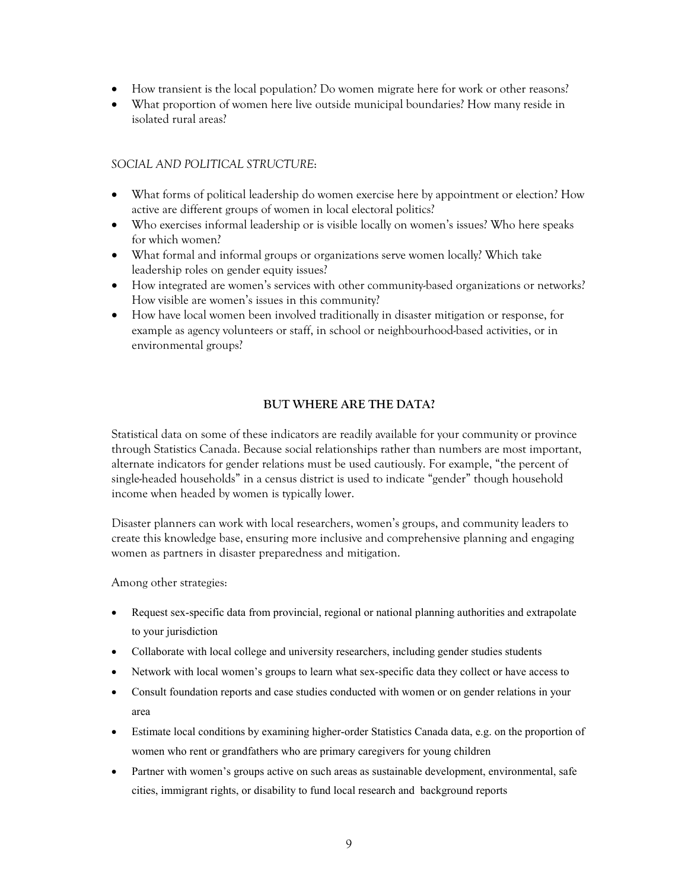- How transient is the local population? Do women migrate here for work or other reasons?
- What proportion of women here live outside municipal boundaries? How many reside in isolated rural areas?

## *SOCIAL AND POLITICAL STRUCTURE*:

- What forms of political leadership do women exercise here by appointment or election? How active are different groups of women in local electoral politics?
- Who exercises informal leadership or is visible locally on women's issues? Who here speaks for which women?
- What formal and informal groups or organizations serve women locally? Which take leadership roles on gender equity issues?
- How integrated are women's services with other community-based organizations or networks? How visible are women's issues in this community?
- How have local women been involved traditionally in disaster mitigation or response, for example as agency volunteers or staff, in school or neighbourhood-based activities, or in environmental groups?

## **BUT WHERE ARE THE DATA?**

Statistical data on some of these indicators are readily available for your community or province through Statistics Canada. Because social relationships rather than numbers are most important, alternate indicators for gender relations must be used cautiously. For example, "the percent of single-headed households" in a census district is used to indicate "gender" though household income when headed by women is typically lower.

Disaster planners can work with local researchers, women's groups, and community leaders to create this knowledge base, ensuring more inclusive and comprehensive planning and engaging women as partners in disaster preparedness and mitigation.

Among other strategies:

- Request sex-specific data from provincial, regional or national planning authorities and extrapolate to your jurisdiction
- Collaborate with local college and university researchers, including gender studies students
- Network with local women's groups to learn what sex-specific data they collect or have access to
- Consult foundation reports and case studies conducted with women or on gender relations in your area
- Estimate local conditions by examining higher-order Statistics Canada data, e.g. on the proportion of women who rent or grandfathers who are primary caregivers for young children
- Partner with women's groups active on such areas as sustainable development, environmental, safe cities, immigrant rights, or disability to fund local research and background reports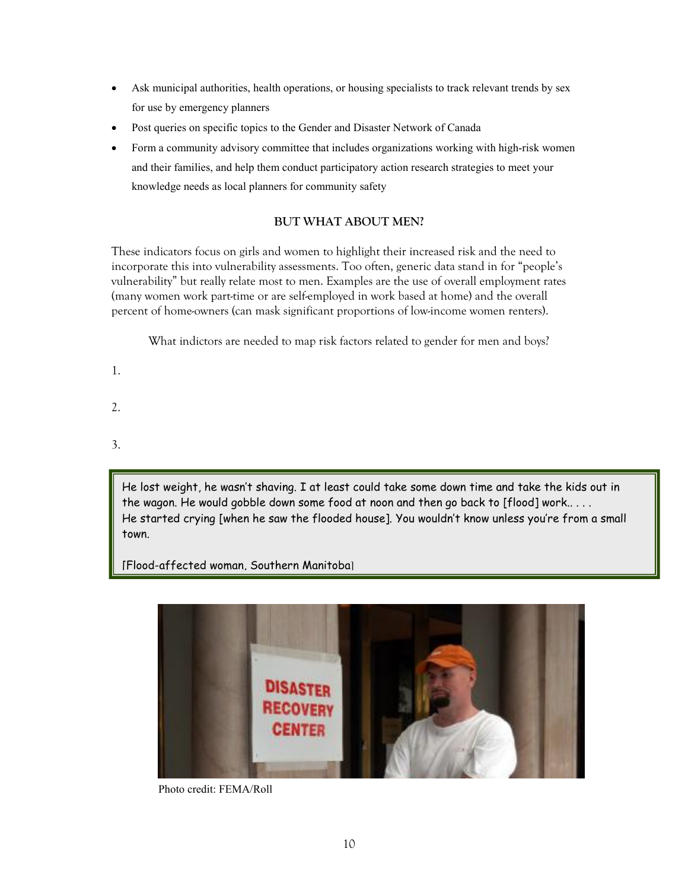- Ask municipal authorities, health operations, or housing specialists to track relevant trends by sex for use by emergency planners
- Post queries on specific topics to the Gender and Disaster Network of Canada
- Form a community advisory committee that includes organizations working with high-risk women and their families, and help them conduct participatory action research strategies to meet your knowledge needs as local planners for community safety

# **BUT WHAT ABOUT MEN?**

These indicators focus on girls and women to highlight their increased risk and the need to incorporate this into vulnerability assessments. Too often, generic data stand in for "people's vulnerability" but really relate most to men. Examples are the use of overall employment rates (many women work part-time or are self-employed in work based at home) and the overall percent of home-owners (can mask significant proportions of low-income women renters).

What indictors are needed to map risk factors related to gender for men and boys?

- 1.
- 
- $2<sup>2</sup>$
- 3.

He lost weight, he wasn't shaving. I at least could take some down time and take the kids out in the wagon. He would gobble down some food at noon and then go back to [flood] work.. . . . He started crying [when he saw the flooded house]. You wouldn't know unless you're from a small town.

[Flood-affected woman, Southern Manitoba]



Photo credit: FEMA/Roll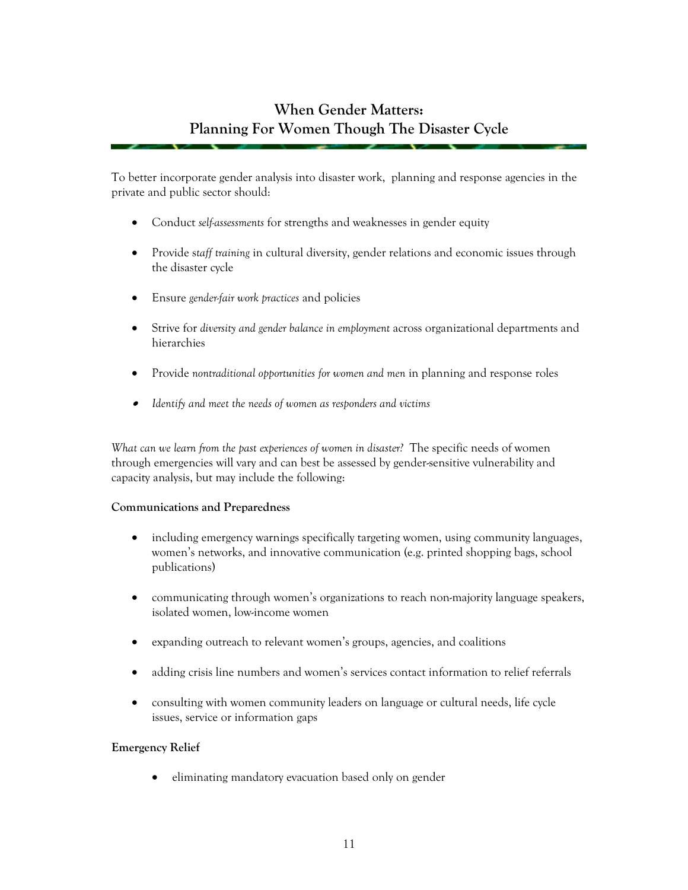# **When Gender Matters: Planning For Women Though The Disaster Cycle**

To better incorporate gender analysis into disaster work, planning and response agencies in the private and public sector should:

- Conduct *self-assessments* for strengths and weaknesses in gender equity
- Provide s*taff training* in cultural diversity, gender relations and economic issues through the disaster cycle
- Ensure *gender-fair work practices* and policies
- Strive for *diversity and gender balance in employment* across organizational departments and hierarchies
- Provide *nontraditional opportunities for women and men* in planning and response roles
- •*Identify and meet the needs of women as responders and victims*

*What can we learn from the past experiences of women in disaster?* The specific needs of women through emergencies will vary and can best be assessed by gender-sensitive vulnerability and capacity analysis, but may include the following:

#### **Communications and Preparedness**

- including emergency warnings specifically targeting women, using community languages, women's networks, and innovative communication (e.g. printed shopping bags, school publications)
- communicating through women's organizations to reach non-majority language speakers, isolated women, low-income women
- expanding outreach to relevant women's groups, agencies, and coalitions
- adding crisis line numbers and women's services contact information to relief referrals
- consulting with women community leaders on language or cultural needs, life cycle issues, service or information gaps

#### **Emergency Relief**

• eliminating mandatory evacuation based only on gender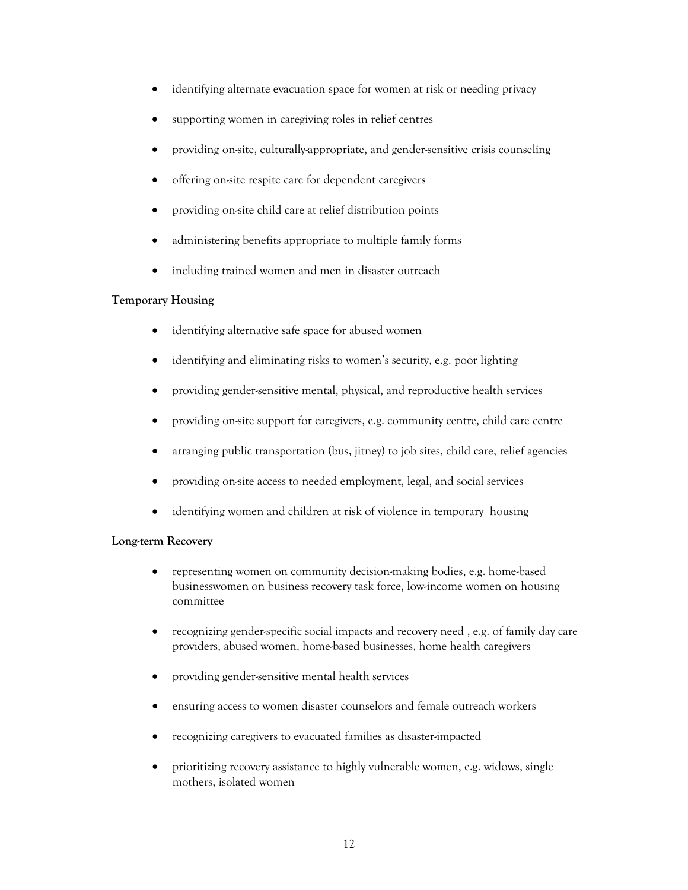- identifying alternate evacuation space for women at risk or needing privacy
- supporting women in caregiving roles in relief centres
- providing on-site, culturally-appropriate, and gender-sensitive crisis counseling
- offering on-site respite care for dependent caregivers
- providing on-site child care at relief distribution points
- administering benefits appropriate to multiple family forms
- including trained women and men in disaster outreach

### **Temporary Housing**

- identifying alternative safe space for abused women
- identifying and eliminating risks to women's security, e.g. poor lighting
- providing gender-sensitive mental, physical, and reproductive health services
- providing on-site support for caregivers, e.g. community centre, child care centre
- arranging public transportation (bus, jitney) to job sites, child care, relief agencies
- providing on-site access to needed employment, legal, and social services
- identifying women and children at risk of violence in temporary housing

### **Long-term Recovery**

- representing women on community decision-making bodies, e.g. home-based businesswomen on business recovery task force, low-income women on housing committee
- recognizing gender-specific social impacts and recovery need , e.g. of family day care providers, abused women, home-based businesses, home health caregivers
- providing gender-sensitive mental health services
- ensuring access to women disaster counselors and female outreach workers
- recognizing caregivers to evacuated families as disaster-impacted
- prioritizing recovery assistance to highly vulnerable women, e.g. widows, single mothers, isolated women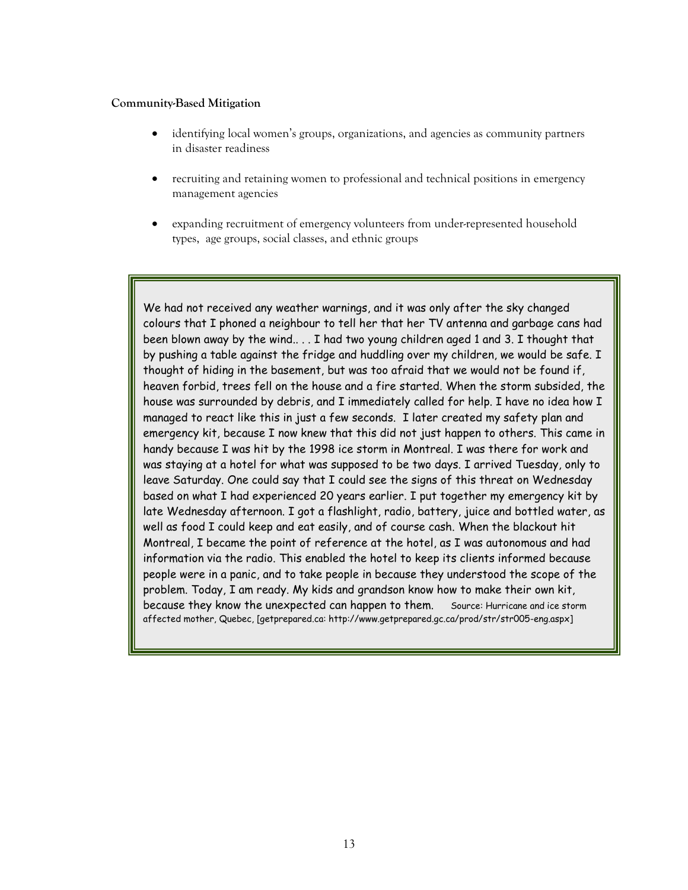#### **Community-Based Mitigation**

- identifying local women's groups, organizations, and agencies as community partners in disaster readiness
- recruiting and retaining women to professional and technical positions in emergency management agencies
- expanding recruitment of emergency volunteers from under-represented household types, age groups, social classes, and ethnic groups

We had not received any weather warnings, and it was only after the sky changed colours that I phoned a neighbour to tell her that her TV antenna and garbage cans had been blown away by the wind.. . . I had two young children aged 1 and 3. I thought that by pushing a table against the fridge and huddling over my children, we would be safe. I thought of hiding in the basement, but was too afraid that we would not be found if, heaven forbid, trees fell on the house and a fire started. When the storm subsided, the house was surrounded by debris, and I immediately called for help. I have no idea how I managed to react like this in just a few seconds. I later created my safety plan and emergency kit, because I now knew that this did not just happen to others. This came in handy because I was hit by the 1998 ice storm in Montreal. I was there for work and was staying at a hotel for what was supposed to be two days. I arrived Tuesday, only to leave Saturday. One could say that I could see the signs of this threat on Wednesday based on what I had experienced 20 years earlier. I put together my emergency kit by late Wednesday afternoon. I got a flashlight, radio, battery, juice and bottled water, as well as food I could keep and eat easily, and of course cash. When the blackout hit Montreal, I became the point of reference at the hotel, as I was autonomous and had information via the radio. This enabled the hotel to keep its clients informed because people were in a panic, and to take people in because they understood the scope of the problem. Today, I am ready. My kids and grandson know how to make their own kit, because they know the unexpected can happen to them. Source: Hurricane and ice storm affected mother, Quebec, [getprepared.ca: http://www.getprepared.gc.ca/prod/str/str005-eng.aspx]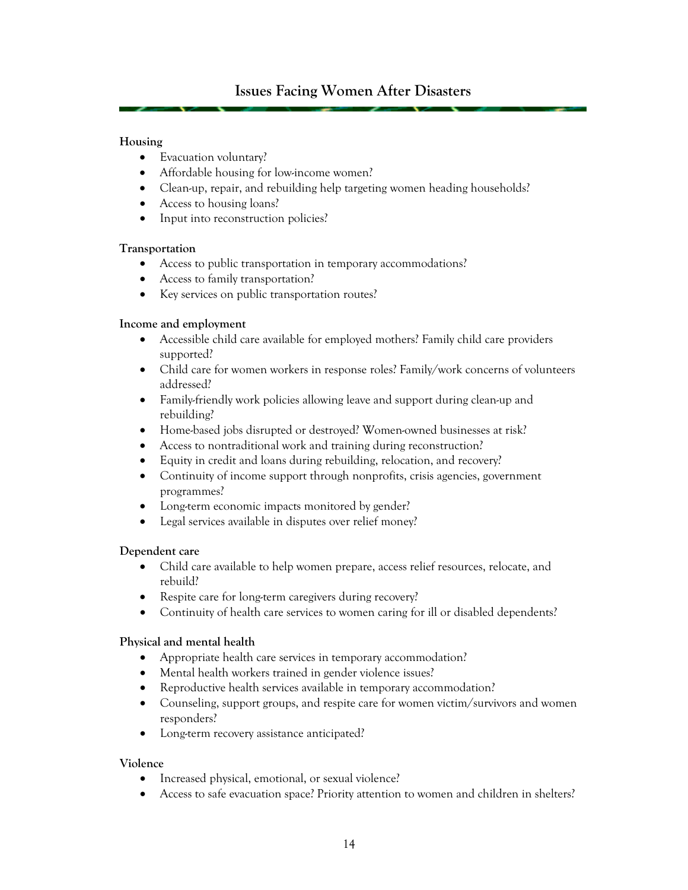# **Issues Facing Women After Disasters**

## **Housing**

- Evacuation voluntary?
- Affordable housing for low-income women?
- Clean-up, repair, and rebuilding help targeting women heading households?
- Access to housing loans?
- Input into reconstruction policies?

#### **Transportation**

- Access to public transportation in temporary accommodations?
- Access to family transportation?
- Key services on public transportation routes?

### **Income and employment**

- Accessible child care available for employed mothers? Family child care providers supported?
- Child care for women workers in response roles? Family/work concerns of volunteers addressed?
- Family-friendly work policies allowing leave and support during clean-up and rebuilding?
- Home-based jobs disrupted or destroyed? Women-owned businesses at risk?
- Access to nontraditional work and training during reconstruction?
- Equity in credit and loans during rebuilding, relocation, and recovery?
- Continuity of income support through nonprofits, crisis agencies, government programmes?
- Long-term economic impacts monitored by gender?
- Legal services available in disputes over relief money?

### **Dependent care**

- Child care available to help women prepare, access relief resources, relocate, and rebuild?
- Respite care for long-term caregivers during recovery?
- Continuity of health care services to women caring for ill or disabled dependents?

### **Physical and mental health**

- Appropriate health care services in temporary accommodation?
- Mental health workers trained in gender violence issues?
- Reproductive health services available in temporary accommodation?
- Counseling, support groups, and respite care for women victim/survivors and women responders?
- Long-term recovery assistance anticipated?

### **Violence**

- Increased physical, emotional, or sexual violence?
- Access to safe evacuation space? Priority attention to women and children in shelters?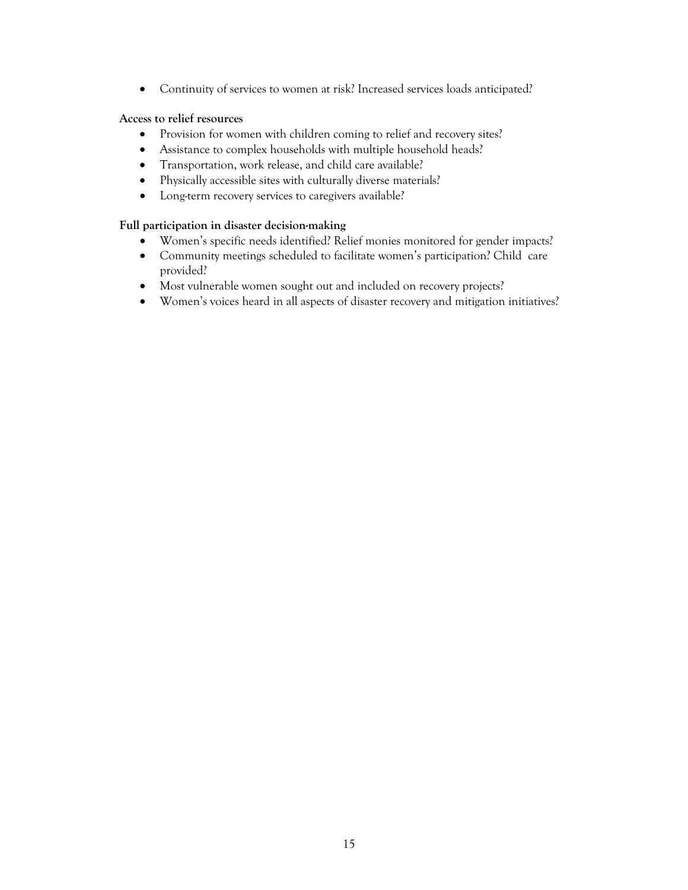• Continuity of services to women at risk? Increased services loads anticipated?

## **Access to relief resources**

- Provision for women with children coming to relief and recovery sites?
- Assistance to complex households with multiple household heads?
- Transportation, work release, and child care available?
- Physically accessible sites with culturally diverse materials?
- Long-term recovery services to caregivers available?

## **Full participation in disaster decision-making**

- Women's specific needs identified? Relief monies monitored for gender impacts?
- Community meetings scheduled to facilitate women's participation? Child care provided?
- Most vulnerable women sought out and included on recovery projects?
- Women's voices heard in all aspects of disaster recovery and mitigation initiatives?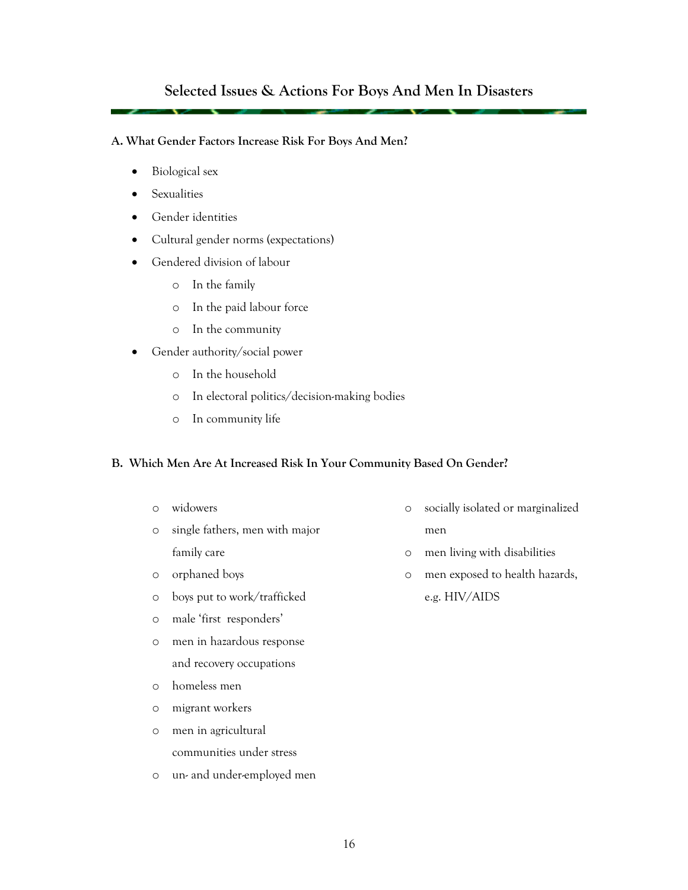# **Selected Issues & Actions For Boys And Men In Disasters**

#### **A. What Gender Factors Increase Risk For Boys And Men?**

- Biological sex
- **Sexualities**
- Gender identities
- Cultural gender norms (expectations)
- Gendered division of labour
	- o In the family
	- o In the paid labour force
	- o In the community
- Gender authority/social power
	- o In the household
	- o In electoral politics/decision-making bodies
	- o In community life

### **B. Which Men Are At Increased Risk In Your Community Based On Gender?**

- o widowers
- o single fathers, men with major family care
- o orphaned boys
- o boys put to work/trafficked
- o male 'first responders'
- o men in hazardous response and recovery occupations
- o homeless men
- o migrant workers
- o men in agricultural communities under stress
- o un- and under-employed men
- o socially isolated or marginalized men
- o men living with disabilities
- o men exposed to health hazards,

e.g. HIV/AIDS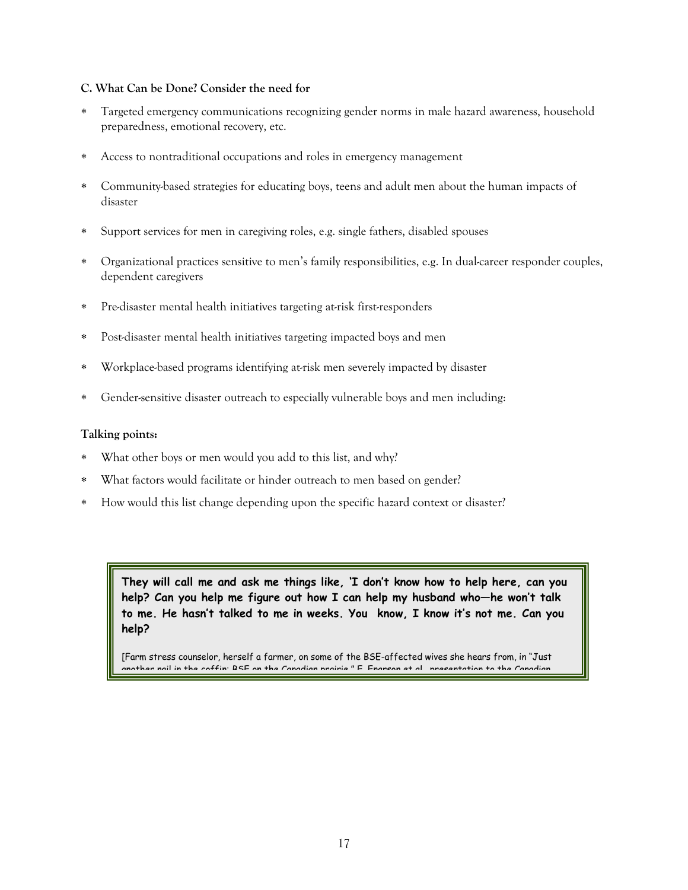#### **C. What Can be Done? Consider the need for**

- Targeted emergency communications recognizing gender norms in male hazard awareness, household preparedness, emotional recovery, etc.
- ∗ Access to nontraditional occupations and roles in emergency management
- Community-based strategies for educating boys, teens and adult men about the human impacts of disaster
- Support services for men in caregiving roles, e.g. single fathers, disabled spouses
- ∗ Organizational practices sensitive to men's family responsibilities, e.g. In dual-career responder couples, dependent caregivers
- ∗ Pre-disaster mental health initiatives targeting at-risk first-responders
- ∗ Post-disaster mental health initiatives targeting impacted boys and men
- ∗ Workplace-based programs identifying at-risk men severely impacted by disaster
- ∗ Gender-sensitive disaster outreach to especially vulnerable boys and men including:

#### **Talking points:**

Ī

- ∗ What other boys or men would you add to this list, and why?
- What factors would facilitate or hinder outreach to men based on gender?
- ∗ How would this list change depending upon the specific hazard context or disaster?

**They will call me and ask me things like, 'I don't know how to help here, can you help? Can you help me figure out how I can help my husband who—he won't talk to me. He hasn't talked to me in weeks. You know, I know it's not me. Can you help?** 

[Farm stress counselor, herself a farmer, on some of the BSE-affected wives she hears from, in "Just another nail in the coffin: BSE on the Canadian prairie " E Enarson et al presentation to the Canadian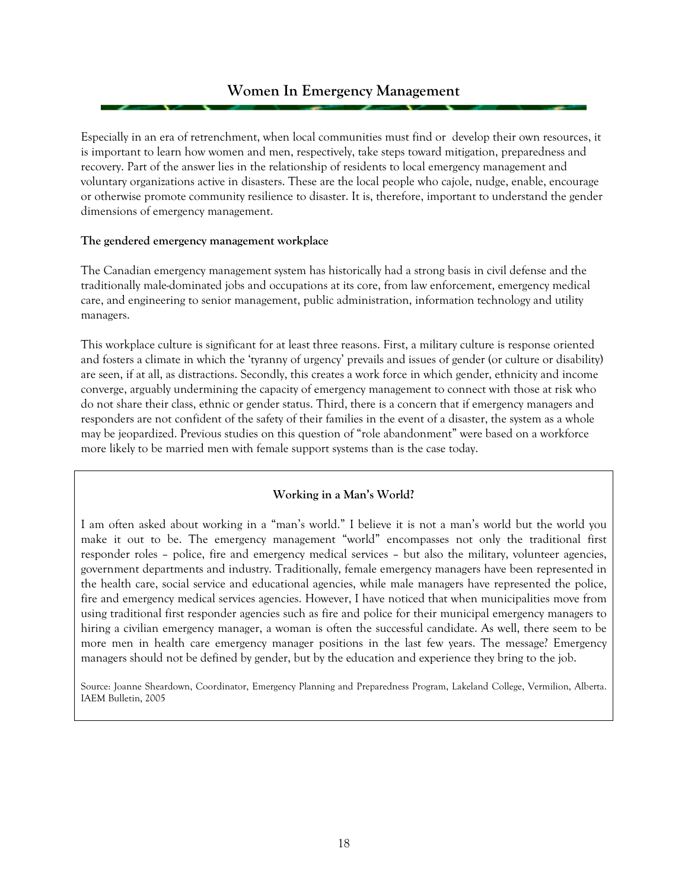Especially in an era of retrenchment, when local communities must find or develop their own resources, it is important to learn how women and men, respectively, take steps toward mitigation, preparedness and recovery. Part of the answer lies in the relationship of residents to local emergency management and voluntary organizations active in disasters. These are the local people who cajole, nudge, enable, encourage or otherwise promote community resilience to disaster. It is, therefore, important to understand the gender dimensions of emergency management.

### **The gendered emergency management workplace**

The Canadian emergency management system has historically had a strong basis in civil defense and the traditionally male-dominated jobs and occupations at its core, from law enforcement, emergency medical care, and engineering to senior management, public administration, information technology and utility managers.

This workplace culture is significant for at least three reasons. First, a military culture is response oriented and fosters a climate in which the 'tyranny of urgency' prevails and issues of gender (or culture or disability) are seen, if at all, as distractions. Secondly, this creates a work force in which gender, ethnicity and income converge, arguably undermining the capacity of emergency management to connect with those at risk who do not share their class, ethnic or gender status. Third, there is a concern that if emergency managers and responders are not confident of the safety of their families in the event of a disaster, the system as a whole may be jeopardized. Previous studies on this question of "role abandonment" were based on a workforce more likely to be married men with female support systems than is the case today.

## **Working in a Man's World?**

I am often asked about working in a "man's world." I believe it is not a man's world but the world you make it out to be. The emergency management "world" encompasses not only the traditional first responder roles – police, fire and emergency medical services – but also the military, volunteer agencies, government departments and industry. Traditionally, female emergency managers have been represented in the health care, social service and educational agencies, while male managers have represented the police, fire and emergency medical services agencies. However, I have noticed that when municipalities move from using traditional first responder agencies such as fire and police for their municipal emergency managers to hiring a civilian emergency manager, a woman is often the successful candidate. As well, there seem to be more men in health care emergency manager positions in the last few years. The message? Emergency managers should not be defined by gender, but by the education and experience they bring to the job.

Source: Joanne Sheardown, Coordinator, Emergency Planning and Preparedness Program, Lakeland College, Vermilion, Alberta. IAEM Bulletin, 2005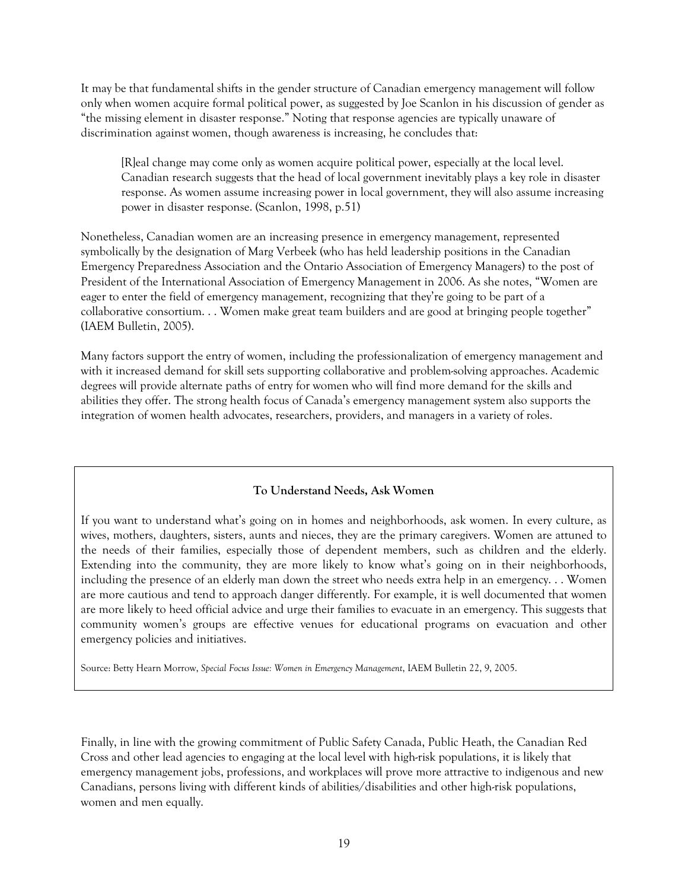It may be that fundamental shifts in the gender structure of Canadian emergency management will follow only when women acquire formal political power, as suggested by Joe Scanlon in his discussion of gender as "the missing element in disaster response." Noting that response agencies are typically unaware of discrimination against women, though awareness is increasing, he concludes that:

[R]eal change may come only as women acquire political power, especially at the local level. Canadian research suggests that the head of local government inevitably plays a key role in disaster response. As women assume increasing power in local government, they will also assume increasing power in disaster response. (Scanlon, 1998, p.51)

Nonetheless, Canadian women are an increasing presence in emergency management, represented symbolically by the designation of Marg Verbeek (who has held leadership positions in the Canadian Emergency Preparedness Association and the Ontario Association of Emergency Managers) to the post of President of the International Association of Emergency Management in 2006. As she notes, "Women are eager to enter the field of emergency management, recognizing that they're going to be part of a collaborative consortium. . . Women make great team builders and are good at bringing people together" (IAEM Bulletin, 2005).

Many factors support the entry of women, including the professionalization of emergency management and with it increased demand for skill sets supporting collaborative and problem-solving approaches. Academic degrees will provide alternate paths of entry for women who will find more demand for the skills and abilities they offer. The strong health focus of Canada's emergency management system also supports the integration of women health advocates, researchers, providers, and managers in a variety of roles.

## **To Understand Needs, Ask Women**

If you want to understand what's going on in homes and neighborhoods, ask women. In every culture, as wives, mothers, daughters, sisters, aunts and nieces, they are the primary caregivers. Women are attuned to the needs of their families, especially those of dependent members, such as children and the elderly. Extending into the community, they are more likely to know what's going on in their neighborhoods, including the presence of an elderly man down the street who needs extra help in an emergency. . . Women are more cautious and tend to approach danger differently. For example, it is well documented that women are more likely to heed official advice and urge their families to evacuate in an emergency. This suggests that community women's groups are effective venues for educational programs on evacuation and other emergency policies and initiatives.

Source: Betty Hearn Morrow, *Special Focus Issue: Women in Emergency Management*, IAEM Bulletin 22, 9, 2005.

Finally, in line with the growing commitment of Public Safety Canada, Public Heath, the Canadian Red Cross and other lead agencies to engaging at the local level with high-risk populations, it is likely that emergency management jobs, professions, and workplaces will prove more attractive to indigenous and new Canadians, persons living with different kinds of abilities/disabilities and other high-risk populations, women and men equally.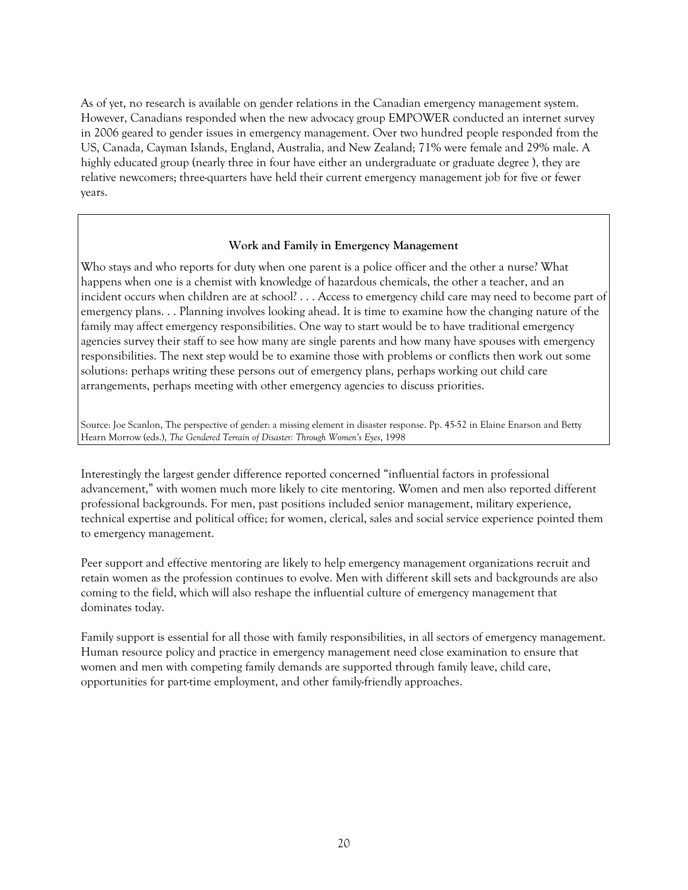As of yet, no research is available on gender relations in the Canadian emergency management system. However, Canadians responded when the new advocacy group EMPOWER conducted an internet survey in 2006 geared to gender issues in emergency management. Over two hundred people responded from the US, Canada, Cayman Islands, England, Australia, and New Zealand; 71% were female and 29% male. A highly educated group (nearly three in four have either an undergraduate or graduate degree ), they are relative newcomers; three-quarters have held their current emergency management job for five or fewer years.

#### **Work and Family in Emergency Management**

Who stays and who reports for duty when one parent is a police officer and the other a nurse? What happens when one is a chemist with knowledge of hazardous chemicals, the other a teacher, and an incident occurs when children are at school? . . . Access to emergency child care may need to become part of emergency plans. . . Planning involves looking ahead. It is time to examine how the changing nature of the family may affect emergency responsibilities. One way to start would be to have traditional emergency agencies survey their staff to see how many are single parents and how many have spouses with emergency responsibilities. The next step would be to examine those with problems or conflicts then work out some solutions: perhaps writing these persons out of emergency plans, perhaps working out child care arrangements, perhaps meeting with other emergency agencies to discuss priorities.

Source: Joe Scanlon, The perspective of gender: a missing element in disaster response. Pp. 45-52 in Elaine Enarson and Betty Hearn Morrow (eds.), *The Gendered Terrain of Disaster: Through Women's Eyes*, 1998

Interestingly the largest gender difference reported concerned "influential factors in professional advancement," with women much more likely to cite mentoring. Women and men also reported different professional backgrounds. For men, past positions included senior management, military experience, technical expertise and political office; for women, clerical, sales and social service experience pointed them to emergency management.

Peer support and effective mentoring are likely to help emergency management organizations recruit and retain women as the profession continues to evolve. Men with different skill sets and backgrounds are also coming to the field, which will also reshape the influential culture of emergency management that dominates today.

Family support is essential for all those with family responsibilities, in all sectors of emergency management. Human resource policy and practice in emergency management need close examination to ensure that women and men with competing family demands are supported through family leave, child care, opportunities for part-time employment, and other family-friendly approaches.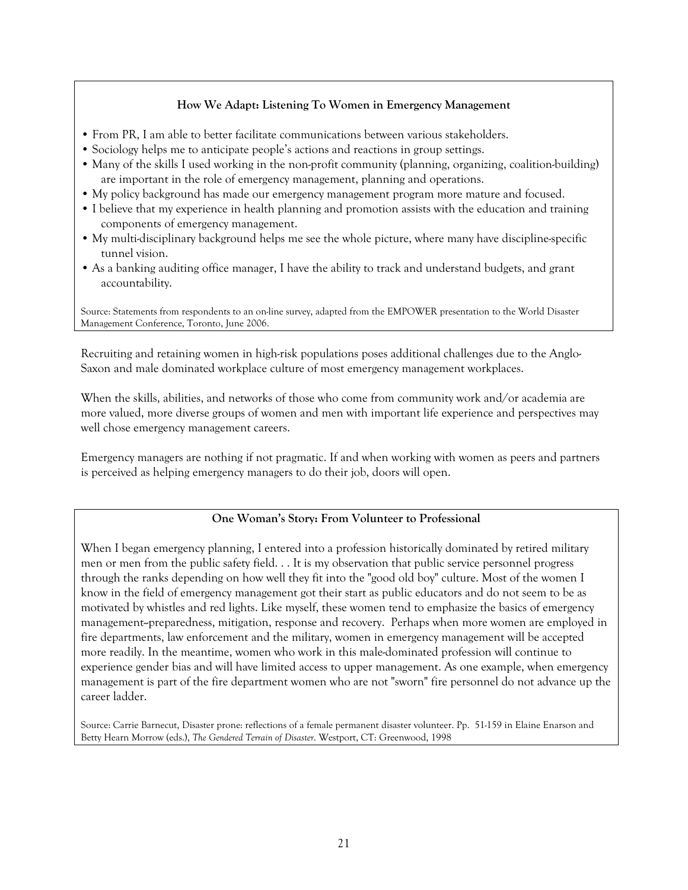# **How We Adapt: Listening To Women in Emergency Management**

- From PR, I am able to better facilitate communications between various stakeholders.
- Sociology helps me to anticipate people's actions and reactions in group settings.
- Many of the skills I used working in the non-profit community (planning, organizing, coalition-building) are important in the role of emergency management, planning and operations.
- My policy background has made our emergency management program more mature and focused.
- I believe that my experience in health planning and promotion assists with the education and training components of emergency management.
- My multi-disciplinary background helps me see the whole picture, where many have discipline-specific tunnel vision.
- As a banking auditing office manager, I have the ability to track and understand budgets, and grant accountability.

Source: Statements from respondents to an on-line survey, adapted from the EMPOWER presentation to the World Disaster Management Conference, Toronto, June 2006.

Recruiting and retaining women in high-risk populations poses additional challenges due to the Anglo-Saxon and male dominated workplace culture of most emergency management workplaces.

When the skills, abilities, and networks of those who come from community work and/or academia are more valued, more diverse groups of women and men with important life experience and perspectives may well chose emergency management careers.

Emergency managers are nothing if not pragmatic. If and when working with women as peers and partners is perceived as helping emergency managers to do their job, doors will open.

## **One Woman's Story: From Volunteer to Professional**

When I began emergency planning, I entered into a profession historically dominated by retired military men or men from the public safety field. . . It is my observation that public service personnel progress through the ranks depending on how well they fit into the "good old boy" culture. Most of the women I know in the field of emergency management got their start as public educators and do not seem to be as motivated by whistles and red lights. Like myself, these women tend to emphasize the basics of emergency management--preparedness, mitigation, response and recovery. Perhaps when more women are employed in fire departments, law enforcement and the military, women in emergency management will be accepted more readily. In the meantime, women who work in this male-dominated profession will continue to experience gender bias and will have limited access to upper management. As one example, when emergency management is part of the fire department women who are not "sworn" fire personnel do not advance up the career ladder.

Source: Carrie Barnecut, Disaster prone: reflections of a female permanent disaster volunteer. Pp. 51-159 in Elaine Enarson and Betty Hearn Morrow (eds.), *The Gendered Terrain of Disaster*. Westport, CT: Greenwood, 1998